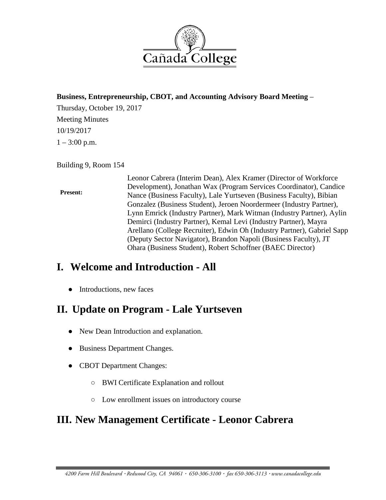

#### **Business, Entrepreneurship, CBOT, and Accounting Advisory Board Meeting** –

Thursday, October 19, 2017 Meeting Minutes 10/19/2017  $1 - 3:00$  p.m.

Building 9, Room 154

#### **Present:**

Leonor Cabrera (Interim Dean), Alex Kramer (Director of Workforce Development), Jonathan Wax (Program Services Coordinator), Candice Nance (Business Faculty), Lale Yurtseven (Business Faculty), Bibian Gonzalez (Business Student), Jeroen Noordermeer (Industry Partner), Lynn Emrick (Industry Partner), Mark Witman (Industry Partner), Aylin Demirci (Industry Partner), Kemal Levi (Industry Partner), Mayra Arellano (College Recruiter), Edwin Oh (Industry Partner), Gabriel Sapp (Deputy Sector Navigator), Brandon Napoli (Business Faculty), JT Ohara (Business Student), Robert Schoffner (BAEC Director)

### **I. Welcome and Introduction - All**

• Introductions, new faces

# **II. Update on Program - Lale Yurtseven**

- New Dean Introduction and explanation.
- Business Department Changes.
- CBOT Department Changes:
	- BWI Certificate Explanation and rollout
	- Low enrollment issues on introductory course

# **III. New Management Certificate - Leonor Cabrera**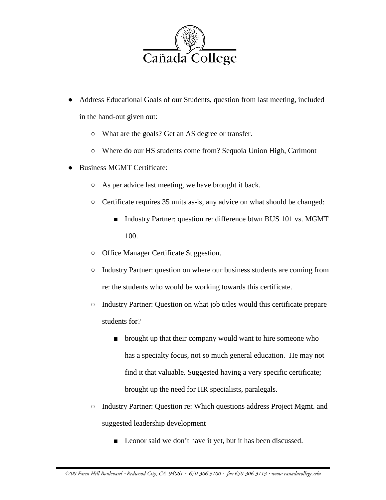

- Address Educational Goals of our Students, question from last meeting, included in the hand-out given out:
	- What are the goals? Get an AS degree or transfer.
	- Where do our HS students come from? Sequoia Union High, Carlmont
- Business MGMT Certificate:
	- As per advice last meeting, we have brought it back.
	- Certificate requires 35 units as-is, any advice on what should be changed:
		- Industry Partner: question re: difference btwn BUS 101 vs. MGMT 100.
	- Office Manager Certificate Suggestion.
	- Industry Partner: question on where our business students are coming from re: the students who would be working towards this certificate.
	- Industry Partner: Question on what job titles would this certificate prepare students for?
		- brought up that their company would want to hire someone who has a specialty focus, not so much general education. He may not find it that valuable. Suggested having a very specific certificate; brought up the need for HR specialists, paralegals.
	- Industry Partner: Question re: Which questions address Project Mgmt. and suggested leadership development
		- Leonor said we don't have it yet, but it has been discussed.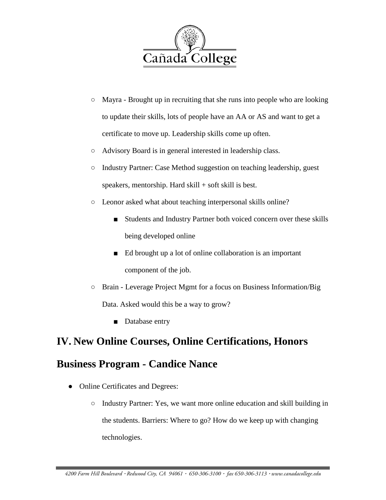

- Mayra Brought up in recruiting that she runs into people who are looking to update their skills, lots of people have an AA or AS and want to get a certificate to move up. Leadership skills come up often.
- Advisory Board is in general interested in leadership class.
- Industry Partner: Case Method suggestion on teaching leadership, guest speakers, mentorship. Hard  $skill + soft$  skill is best.
- Leonor asked what about teaching interpersonal skills online?
	- Students and Industry Partner both voiced concern over these skills being developed online
	- Ed brought up a lot of online collaboration is an important component of the job.
- Brain Leverage Project Mgmt for a focus on Business Information/Big Data. Asked would this be a way to grow?
	- Database entry

### **IV. New Online Courses, Online Certifications, Honors**

### **Business Program - Candice Nance**

- Online Certificates and Degrees:
	- Industry Partner: Yes, we want more online education and skill building in the students. Barriers: Where to go? How do we keep up with changing technologies.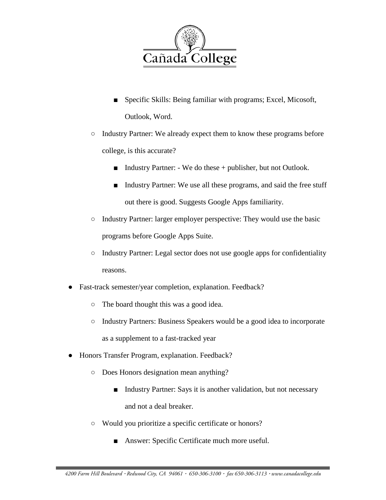

- Specific Skills: Being familiar with programs; Excel, Micosoft, Outlook, Word.
- Industry Partner: We already expect them to know these programs before college, is this accurate?
	- Industry Partner: We do these + publisher, but not Outlook.
	- Industry Partner: We use all these programs, and said the free stuff out there is good. Suggests Google Apps familiarity.
- Industry Partner: larger employer perspective: They would use the basic programs before Google Apps Suite.
- Industry Partner: Legal sector does not use google apps for confidentiality reasons.
- Fast-track semester/year completion, explanation. Feedback?
	- The board thought this was a good idea.
	- Industry Partners: Business Speakers would be a good idea to incorporate as a supplement to a fast-tracked year
- Honors Transfer Program, explanation. Feedback?
	- Does Honors designation mean anything?
		- Industry Partner: Says it is another validation, but not necessary and not a deal breaker.
	- Would you prioritize a specific certificate or honors?
		- Answer: Specific Certificate much more useful.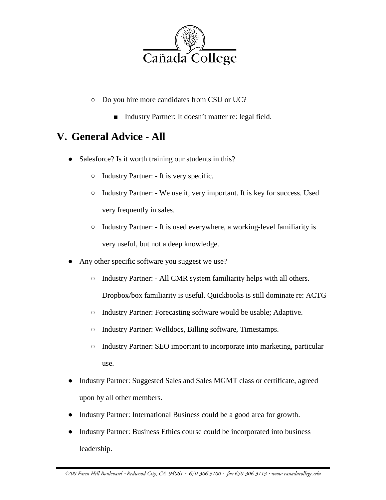

- Do you hire more candidates from CSU or UC?
	- Industry Partner: It doesn't matter re: legal field.

## **V. General Advice - All**

- Salesforce? Is it worth training our students in this?
	- Industry Partner: It is very specific.
	- Industry Partner: We use it, very important. It is key for success. Used very frequently in sales.
	- Industry Partner: It is used everywhere, a working-level familiarity is very useful, but not a deep knowledge.
- Any other specific software you suggest we use?
	- Industry Partner: All CMR system familiarity helps with all others. Dropbox/box familiarity is useful. Quickbooks is still dominate re: ACTG
	- Industry Partner: Forecasting software would be usable; Adaptive.
	- Industry Partner: Welldocs, Billing software, Timestamps.
	- Industry Partner: SEO important to incorporate into marketing, particular use.
- Industry Partner: Suggested Sales and Sales MGMT class or certificate, agreed upon by all other members.
- Industry Partner: International Business could be a good area for growth.
- Industry Partner: Business Ethics course could be incorporated into business leadership.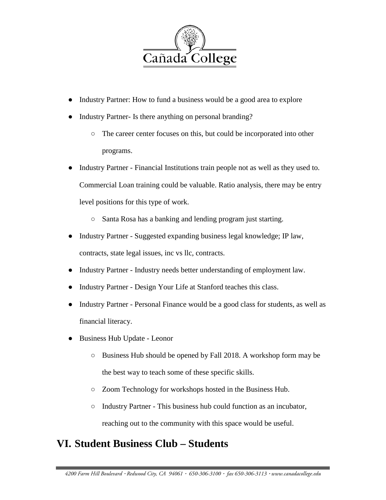

- Industry Partner: How to fund a business would be a good area to explore
- Industry Partner- Is there anything on personal branding?
	- The career center focuses on this, but could be incorporated into other programs.
- Industry Partner Financial Institutions train people not as well as they used to. Commercial Loan training could be valuable. Ratio analysis, there may be entry level positions for this type of work.
	- Santa Rosa has a banking and lending program just starting.
- Industry Partner Suggested expanding business legal knowledge; IP law, contracts, state legal issues, inc vs llc, contracts.
- Industry Partner Industry needs better understanding of employment law.
- Industry Partner Design Your Life at Stanford teaches this class.
- Industry Partner Personal Finance would be a good class for students, as well as financial literacy.
- Business Hub Update Leonor
	- Business Hub should be opened by Fall 2018. A workshop form may be the best way to teach some of these specific skills.
	- Zoom Technology for workshops hosted in the Business Hub.
	- Industry Partner This business hub could function as an incubator, reaching out to the community with this space would be useful.

### **VI. Student Business Club – Students**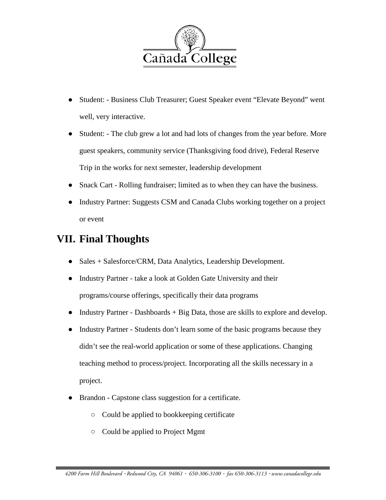

- Student: Business Club Treasurer; Guest Speaker event "Elevate Beyond" went well, very interactive.
- Student: The club grew a lot and had lots of changes from the year before. More guest speakers, community service (Thanksgiving food drive), Federal Reserve Trip in the works for next semester, leadership development
- Snack Cart Rolling fundraiser; limited as to when they can have the business.
- Industry Partner: Suggests CSM and Canada Clubs working together on a project or event

# **VII. Final Thoughts**

- Sales + Salesforce/CRM, Data Analytics, Leadership Development.
- Industry Partner take a look at Golden Gate University and their programs/course offerings, specifically their data programs
- Industry Partner Dashboards + Big Data, those are skills to explore and develop.
- Industry Partner Students don't learn some of the basic programs because they didn't see the real-world application or some of these applications. Changing teaching method to process/project. Incorporating all the skills necessary in a project.
- Brandon Capstone class suggestion for a certificate.
	- Could be applied to bookkeeping certificate
	- Could be applied to Project Mgmt